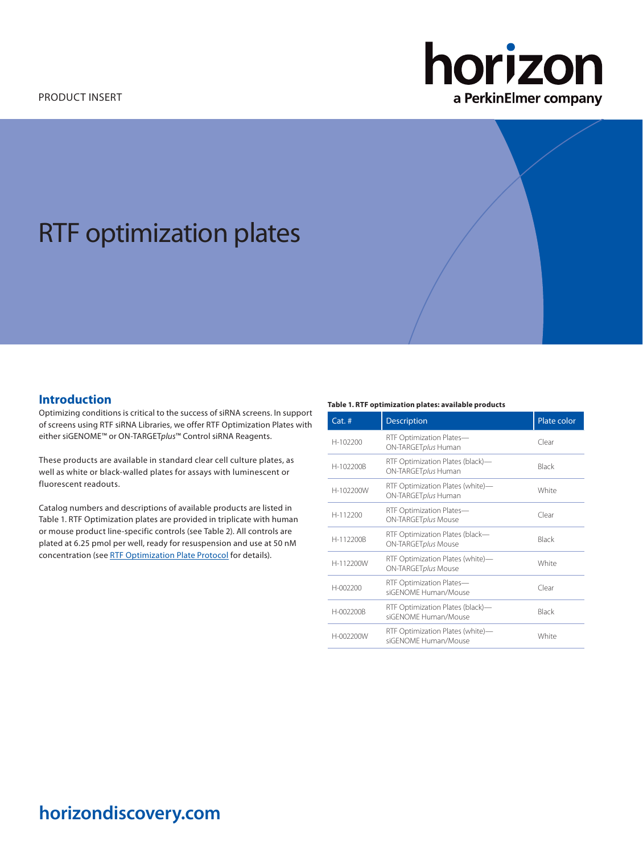# horizon a PerkinElmer company

# RTF optimization plates

# **Introduction**

Optimizing conditions is critical to the success of siRNA screens. In support of screens using RTF siRNA Libraries, we offer RTF Optimization Plates with either siGENOME™ or ON-TARGET*plus*™ Control siRNA Reagents.

These products are available in standard clear cell culture plates, as well as white or black-walled plates for assays with luminescent or fluorescent readouts.

Catalog numbers and descriptions of available products are listed in Table 1. RTF Optimization plates are provided in triplicate with human or mouse product line-specific controls (see Table 2). All controls are plated at 6.25 pmol per well, ready for resuspension and use at 50 nM concentration (see [RTF Optimization Plate Protocol](https://horizondiscovery.com/-/media/Files/Horizon/resources/Protocols/rtf-optimization-plates-protocol.pdf) for details).

#### **Table 1. RTF optimization plates: available products**

| $Cat.$ #  | <b>Description</b>                                       | Plate color |
|-----------|----------------------------------------------------------|-------------|
| H-102200  | RTF Optimization Plates-<br>ON-TARGETplus Human          | Clear       |
| H-102200B | RTF Optimization Plates (black)-<br>ON-TARGETplus Human  | Black       |
| H-102200W | RTF Optimization Plates (white)-<br>ON-TARGETplus Human  | White       |
| H-112200  | RTF Optimization Plates-<br>ON-TARGETplus Mouse          | Clear       |
| H-112200B | RTF Optimization Plates (black-<br>ON-TARGETplus Mouse   | Black       |
| H-112200W | RTF Optimization Plates (white)-<br>ON-TARGETplus Mouse  | White       |
| H-002200  | RTF Optimization Plates-<br>siGENOME Human/Mouse         | Clear       |
| H-002200B | RTF Optimization Plates (black)-<br>siGFNOME Human/Mouse | Black       |
| H-002200W | RTF Optimization Plates (white)-<br>siGFNOME Human/Mouse | White       |

# **horizondiscovery.com**